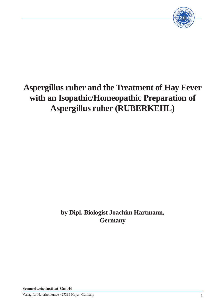

# **Aspergillus ruber and the Treatment of Hay Fever with an Isopathic/Homeopathic Preparation of Aspergillus ruber (RUBERKEHL)**

# **by Dipl. Biologist Joachim Hartmann, Germany**

**Semmelweis-Institut GmbH**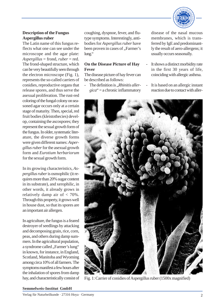

# **Description of the Fungus Aspergillus ruber**

The Latin name of this fungus reflects what one can see under the microscope and the agar plate: *Aspergillus* = frond, *ruber* = red. The frond-shaped structure, which can be very beautifully seen through the electron microscope (Fig. 1), represents the so-called carriers of conidies, reproductive organs that release spores, and thus serve the asexual proliferation. The rust-red coloring of the fungal colony on seasoned agar occurs only at a certain stage of maturity. Then, special, red fruit bodies (kleistothecies) develop, containing the ascospores; they represent the sexual growth form of the fungus. In older, systematic literature, the diverse growth forms were given different names: *Aspergillus ruber* for the asexual growth form and *Eurotium herbariorum* for the sexual growth form.

In its growing characteristics, *Aspergillus ruber* is osmophilic (it requires more than 20% sugar content in its substrate), and xerophilic, in other words, it already grows in relatively damp air of < 70%. Through this property, it grows well in house dust, so that its spores are an important air allergen.

In agriculture, the fungus is a feared destroyer of seedlings by attacking and decomposing grain, rice, corn, peas, and others during damp summers. In the agricultural population, a syndrome called "Farmer's lung" in known, for instance, in England, Scotland, Manitoba and Wyoming among circa 10% of all farmers. The symptoms manifest a few hours after the inhalation of spores from damp hay, and characteristically consist of coughing, dyspnoe, fever, and flutype symptoms. Interestingly, antibodies for *Aspergillus ruber* have been proven in cases of "Farmer's lung."

# **On the Disease Picture of Hay Fever**

The disease picture of hay fever can be described as follows:

The definition is *.Rhinitis allergica*" = a chronic inflammatory disease of the nasal mucous membranes, which is transferred by IgE and predominantly the result of aero-allergens; it usually occurs seasonally.

- It shows a distinct morbidity rate in the first 30 years of life, coinciding with allergic asthma.
- It is based on an allergic instant reaction due to contact with aller-



Fig. 1: Carrier of conidies of Aspergillus ruber (1500x magnified)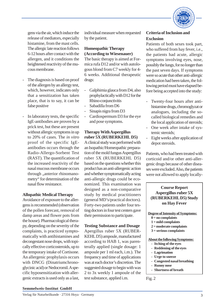

gens via the air, which induce the release of mediators, especially histamine, from the mast cells. The allergic late reaction follows 6-12 hours after contact with the allergen, and it conditions the heightened reactivity of the mucous membrane.

- The diagnosis is based on proof of the allergen by an allergy test, which, however, indicates only that a sensitization has taken place, that is to say, it can be false positive
- In laboratory tests, the specific IgE-antibodies are proven by a prick test, but these are present without allergic symptoms in up to 20% of cases. The *in vitro* proof of the specific IgEantibodies occurs through the Radio-Allergo-Sorbent Test (RAST). The quantification of the increased reactivity of the nasal mucous membrane occurs through ..anterior rhinomanometry" for determination of the nasal flow resistance.

# **Allopathic Medical Therapy**

Avoidance of exposure to the allergens is recommended (observation of the pollen forecast, removal of damp areas and flower pots from the house). Pharmacological therapy, depending on the severity of the complaints, is practiced symptomatically with antihistamines and decongestant nose drops, with topically effective corticosteroids, up to the temporary intake of Cortisone. An allergenic prophylaxis occurs with DNCG (Dinatriumchronoglycinic acid) or Nedocromil. A specific hyposensitization with allergenic extracts is used only as a last,

individual measure when requested by the patient.

# **Homeopathic Therapy (According to Wiesenauer)**

The basic therapy is aimed at Formica rufa D12 and/or with autologous blond from C7 weekly for 4- 6 weeks. Additional therapeutic drugs:

- Galphimia glauca from D4, also prophylactically with D12 for the Rhino-conjunctivitis
- Sabadilla from D6
- Sinapis nigra from D3
- Cardiospermum D3 for the eye and pose symptoms.

# **Therapy With Aspergillus ruber 5X (RUBERKEHL D5)**

A clinical study was performed with an Isopathic/Homeopathic preparation of the mold fungus Aspergillus ruber 5X (RUBERKEHL D5) based on the questions whether this product has an anti-allergenic action and whether symptomatically acting anti-allergic drugs could be economized. This examination was designed as a non-comparative study by medical practitioners (general MD's/practical doctors). Forty-two patients under four testing doctors in four test centers gave their permission to participate.

#### **Testing Substance and Dosage**

Apergillus ruber 5X (RUBER-KEHL D5) ampoule, manufactured according to HAB 1, was parenterally applied (single dosage: 1 ampoule per 1 ml each, i.m.). The frequency and time of applications was at each doctor's discretion. The suggested dosage to begin with was 2 to 3x weekly 1 ampoule of the test substance, applied i.m.

# **Criteria of Inclusion and Exclusion**

Patients of both sexes took part, who suffered from hay fever, i.e., the patients had acute, allergic symptoms involving eyes, nose, possibly the lungs, for no longer than the past seven days. If symptoms were so acute that other anti-allergic medication had been taken, the following period must have elapsed before being accepted into the study:

- Twenty-four hours after antihistamine drugs, chromoglyzat or analogues, including the socalled biological remedies and the local application of steroids;
- One week after intake of systemic steroids;
- Eight weeks after application of depot steroids.

Patients, who had been treated with corticoid and/or other anti-allergenic drugs because of other diseases were excluded. Also, the patients were not allowed to apply locally-

# **Course Report Aspergillus ruber 5X (RUBERKEHL D5) Study on Hay Fever**

**Degree of Intensity of Symptoms:**

- **0 = no complaints**
- **1 = mild complaints**
- **2 = moderate complaints**
- **3 = serious complaints**

**About the following Symptoms:**

- **- Itching of the eyes**
- **- Reddening of the eyes**
- **- Lagrimation**
- **- Urge to sneeze**
- **- Congested nasal breathing**
- **- Runny nose**
- **- Shortness of breath**

Fig. 2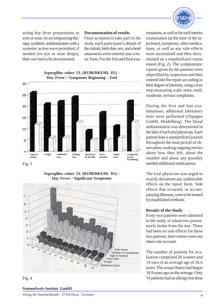

acting hay fever preparations to eyes or nose. As accompanying therapy, synthetic antihistamines with a systemic action were permitted, if needed (no eye or nose drops); their use had to be documented.

#### **Documentation of results**

Once accepted to take part in the study, each participant's details of the initials, birth date, sex, and a brief anamnesis were entered onto a basic form. For the first and final exa-



Fig. 3

#### **Aspergillus ruber 5X (RUBERKEHL D5) - Hay Fever / Significant Symptoms**



Fig. 4

#### **Semmelweis-Institut GmbH**

minations, as well as for each interim examination (at the time of the injections), symptoms, other medications, as well as any side effects were ascertained and then documented an a standardized course report (Fig. 2). The symptomatic reports given by the patients were objectified by inspection and then entered into the report according to their degree of intensity, using a four step measuring scale: none, mild, moderate, serious complaints.

During the first and last examinations, additional laboratory tests were performed (Orpegen GmbH, Heidelberg). The blood sedimentation was determined in the labs of each trial physician. Each patient kept a standardized journal throughout the total period of observation, making ongoing entries about how they felt, about the weather and about any possibly needed additional medications.

The trial physician was urged to exactly document any undesirable effects on the report form. Side effects that occurred, or accompanying illnesses, were to be treated by established methods.

#### **Results of the Study**

Forty-two patients were admitted to the study, of whom two prematurely broke from the test. There had been no side effects for these two patients; their entries were not taken into account.

The number of patients for evaluation comprised 26 women and 14 men of an average age of 36.6 years. The actual illness had begun 10.9 years ago on the average. Only 14 patients had an allergy test done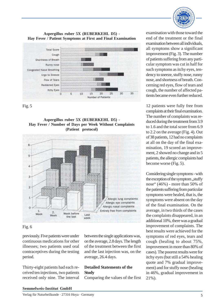

#### **Aspergillus ruber 5X (RUBERKEHL D5) - Hay Fever / Patient Symptoms at First and Final Examination**



Fig. 5

#### **Aspergillus ruber 5X (RUBERKEHL D5) - Hay Fever / Number of Days per Week Without Complaints (Patient protocol)**



# Fig. 6

previously. Five patients were under continuous medications for other illnesses; two patients used oral contraceptives during the testing period.

Thirty-eight patients had each received ten injections, two patients received only nine. The interval between the single applications was, on the average, 2.8 days. The length of the treatment between the first and the last injection was, on the average, 26.4 days.

# **Detailed Statements of the Study**

Comparing the values of the first

examination with those toward the end of the treatment or the final examination between all individuals, all symptoms show a significant improvement (Fig. 3). The number of patients suffering from any particular symptom was cut in half for such symptoms as itchy eyes, tendency to sneeze, stuffy nose, runny nose, and shortness of breath. Concerning red eyes, flow of tears and cough, the number of affected patients became even further reduced.

12 patients were fully free from complaints at their final examination. The number of complaints was reduced during the treatment from 3.9 to 1.6 and the total score from 6.9 to 2.2 on the average (Fig. 4). Out of 38 patients, 12 had no complaints at all on the day of the final examination, 19 scored an improvement, 2 showed no change and in 5 patients, the allergic complaints had become worse (Fig. 5).

Considering single symptoms - with the exception of the symptom, stuffy nose" (46%) - more than 50% of the patients suffering from particular symptoms were healed, that is, the symptoms were absent on the day of the final examination. On the average, in two thirds of the cases the complaints disappeared, in an additional 10%, there was a gradual improvement of complaints. The best results were achieved for the symptoms of red eyes, tears and cough (healing to about 75%, improvement in more than 80% of cases). The poorest results were for itchy eyes (but still a 54% healing quote and 7% gradual improvement) and for stuffy nose (healing in 46%, gradual improvement in 21%).

#### **Semmelweis-Institut GmbH**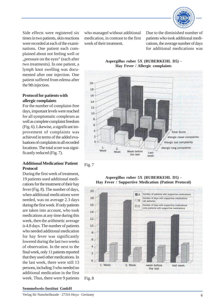

Side effects were registered six times in two patients, skin reactions were recorded at each of the examinations. One patient each complained about not feeling well or "pressure on the eyes" (each after two treatments). In one patient, a lymph knot swelling was documented after one injection. One patient suffered from edema after the 9th injection.

# **Protocol for patients with allergic complaints**

For the number of complaint-free days, important levels were reached for all symptomatic complexes as well as complete complaint freedom (Fig. 6). Likewise, a significant improvement of complaints was achieved in terms of the added evaluations of complaints in all recorded locations. The total score was significantly reduced (Fig. 7).

# **Additional Medication/ Patient Protocol**

During the first week of treatment, 19 patients used additional medications for the treatment of their hay fever (Fig. 8). The number of days, when additional medications were needed, was on average 2.3 days during the first week. If only patients are taken into account, who took medications at any time during this week, then the arithmetic average is 4.8 days. The number of patients who needed additional medication for hay fever was significantly lowered during the last two weeks of observation. In the next to the final week, only 11 patients reported that they used other medications. In the last week, there were still 13 persons, including 3 who needed no additional medication in the first week. Thus, there were 9 patients

who managed without additional medication, in contrast to the first week of their treatment.

Due to the diminished number of patients who took additional medications, the average number of days for additional medications was



**Aspergillus ruber 5X (RUBERKEHL D5) -**